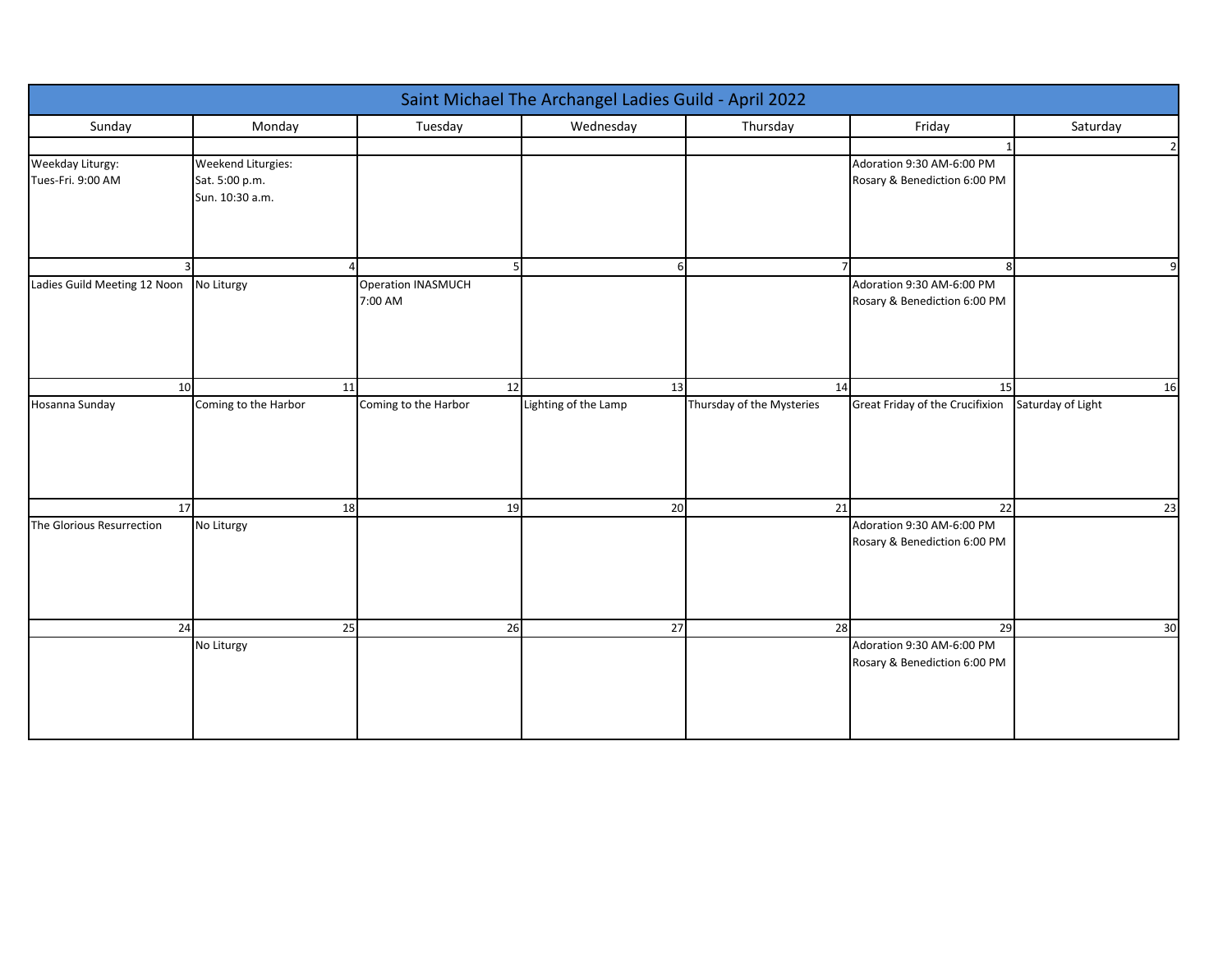| Saint Michael The Archangel Ladies Guild - April 2022 |                                                         |                               |                      |                           |                                                           |                |
|-------------------------------------------------------|---------------------------------------------------------|-------------------------------|----------------------|---------------------------|-----------------------------------------------------------|----------------|
| Sunday                                                | Monday                                                  | Tuesday                       | Wednesday            | Thursday                  | Friday                                                    | Saturday       |
|                                                       |                                                         |                               |                      |                           |                                                           | $\overline{2}$ |
| Weekday Liturgy:<br>Tues-Fri. 9:00 AM                 | Weekend Liturgies:<br>Sat. 5:00 p.m.<br>Sun. 10:30 a.m. |                               |                      |                           | Adoration 9:30 AM-6:00 PM<br>Rosary & Benediction 6:00 PM |                |
|                                                       |                                                         | 5                             | $\epsilon$           |                           | 8                                                         | $\mathbf{q}$   |
| Ladies Guild Meeting 12 Noon                          | No Liturgy                                              | Operation INASMUCH<br>7:00 AM |                      |                           | Adoration 9:30 AM-6:00 PM<br>Rosary & Benediction 6:00 PM |                |
| 10                                                    | 11                                                      | 12                            | 13                   | 14                        | 15                                                        | 16             |
| Hosanna Sunday                                        | Coming to the Harbor                                    | Coming to the Harbor          | Lighting of the Lamp | Thursday of the Mysteries | Great Friday of the Crucifixion Saturday of Light         |                |
| 17                                                    | 18                                                      | 19                            | 20                   | 21                        | 22                                                        | 23             |
| The Glorious Resurrection                             | No Liturgy                                              |                               |                      |                           | Adoration 9:30 AM-6:00 PM<br>Rosary & Benediction 6:00 PM |                |
| 24                                                    | 25                                                      | 26                            | 27                   | 28                        | 29                                                        | 30             |
|                                                       | No Liturgy                                              |                               |                      |                           | Adoration 9:30 AM-6:00 PM<br>Rosary & Benediction 6:00 PM |                |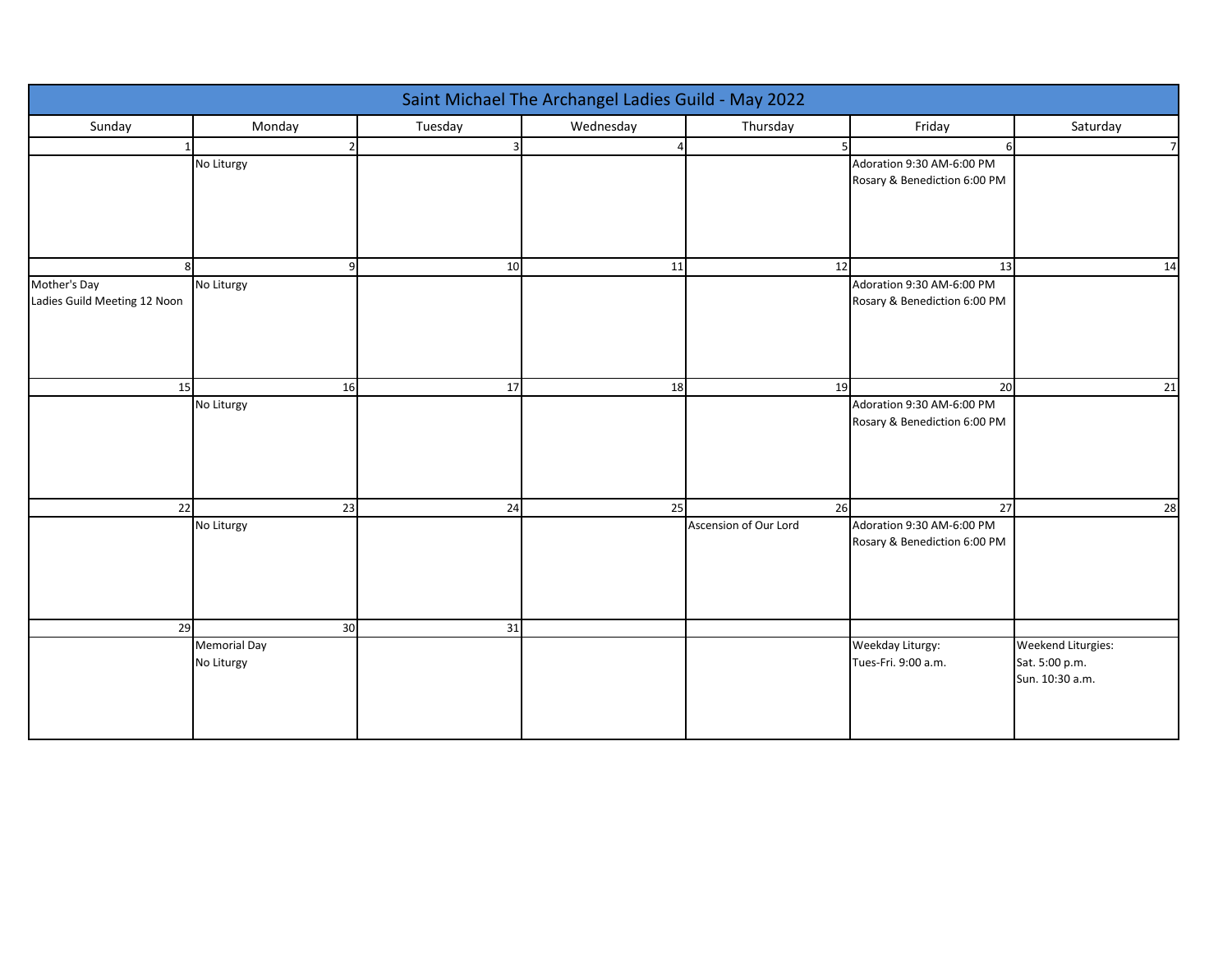| Saint Michael The Archangel Ladies Guild - May 2022 |                     |              |           |                       |                              |                                   |
|-----------------------------------------------------|---------------------|--------------|-----------|-----------------------|------------------------------|-----------------------------------|
| Sunday                                              | Monday              | Tuesday      | Wednesday | Thursday              | Friday                       | Saturday                          |
|                                                     |                     | $\mathbf{a}$ |           |                       |                              | $\overline{7}$                    |
|                                                     | No Liturgy          |              |           |                       | Adoration 9:30 AM-6:00 PM    |                                   |
|                                                     |                     |              |           |                       | Rosary & Benediction 6:00 PM |                                   |
|                                                     |                     |              |           |                       |                              |                                   |
|                                                     |                     |              |           |                       |                              |                                   |
|                                                     |                     |              |           |                       |                              |                                   |
|                                                     |                     | 10           | 11        | 12                    | 13                           | 14                                |
| Mother's Day                                        | No Liturgy          |              |           |                       | Adoration 9:30 AM-6:00 PM    |                                   |
| Ladies Guild Meeting 12 Noon                        |                     |              |           |                       | Rosary & Benediction 6:00 PM |                                   |
|                                                     |                     |              |           |                       |                              |                                   |
|                                                     |                     |              |           |                       |                              |                                   |
|                                                     |                     |              |           |                       |                              |                                   |
| 15                                                  | 16                  | 17           | 18        | 19                    | 20                           | 21                                |
|                                                     | No Liturgy          |              |           |                       | Adoration 9:30 AM-6:00 PM    |                                   |
|                                                     |                     |              |           |                       | Rosary & Benediction 6:00 PM |                                   |
|                                                     |                     |              |           |                       |                              |                                   |
|                                                     |                     |              |           |                       |                              |                                   |
|                                                     |                     |              |           |                       |                              |                                   |
| 22                                                  | 23                  | 24           | 25        | 26                    | 27                           | 28                                |
|                                                     | No Liturgy          |              |           | Ascension of Our Lord | Adoration 9:30 AM-6:00 PM    |                                   |
|                                                     |                     |              |           |                       | Rosary & Benediction 6:00 PM |                                   |
|                                                     |                     |              |           |                       |                              |                                   |
|                                                     |                     |              |           |                       |                              |                                   |
|                                                     |                     |              |           |                       |                              |                                   |
| 29                                                  | 30                  | 31           |           |                       |                              |                                   |
|                                                     | <b>Memorial Day</b> |              |           |                       | Weekday Liturgy:             | Weekend Liturgies:                |
|                                                     | No Liturgy          |              |           |                       | Tues-Fri. 9:00 a.m.          | Sat. 5:00 p.m.<br>Sun. 10:30 a.m. |
|                                                     |                     |              |           |                       |                              |                                   |
|                                                     |                     |              |           |                       |                              |                                   |
|                                                     |                     |              |           |                       |                              |                                   |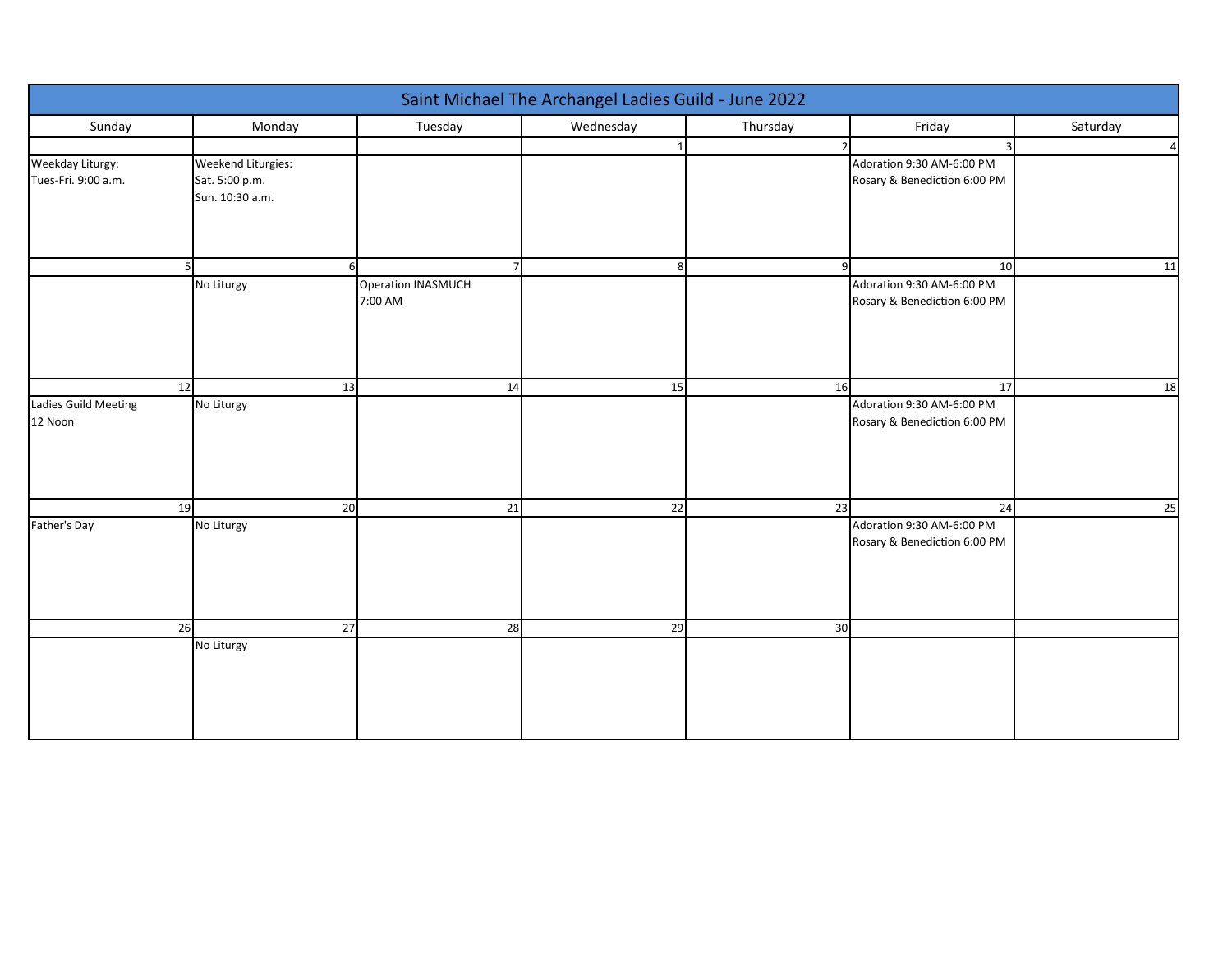| Saint Michael The Archangel Ladies Guild - June 2022 |                                                         |                               |           |          |                                                           |                |
|------------------------------------------------------|---------------------------------------------------------|-------------------------------|-----------|----------|-----------------------------------------------------------|----------------|
| Sunday                                               | Monday                                                  | Tuesday                       | Wednesday | Thursday | Friday                                                    | Saturday       |
|                                                      |                                                         |                               |           |          |                                                           | $\overline{a}$ |
| Weekday Liturgy:<br>Tues-Fri. 9:00 a.m.              | Weekend Liturgies:<br>Sat. 5:00 p.m.<br>Sun. 10:30 a.m. |                               |           |          | Adoration 9:30 AM-6:00 PM<br>Rosary & Benediction 6:00 PM |                |
|                                                      |                                                         | $\overline{7}$                | 8         |          | 10                                                        | 11             |
|                                                      | No Liturgy                                              | Operation INASMUCH<br>7:00 AM |           |          | Adoration 9:30 AM-6:00 PM<br>Rosary & Benediction 6:00 PM |                |
| 12                                                   | 13                                                      | 14                            | 15        | 16       | 17                                                        | 18             |
| Ladies Guild Meeting<br>12 Noon                      | No Liturgy                                              |                               |           |          | Adoration 9:30 AM-6:00 PM<br>Rosary & Benediction 6:00 PM |                |
| 19                                                   | 20                                                      | 21                            | 22        | 23       | 24                                                        | 25             |
| Father's Day                                         | No Liturgy                                              |                               |           |          | Adoration 9:30 AM-6:00 PM<br>Rosary & Benediction 6:00 PM |                |
| 26                                                   | 27                                                      | 28                            | 29        | 30       |                                                           |                |
|                                                      | No Liturgy                                              |                               |           |          |                                                           |                |